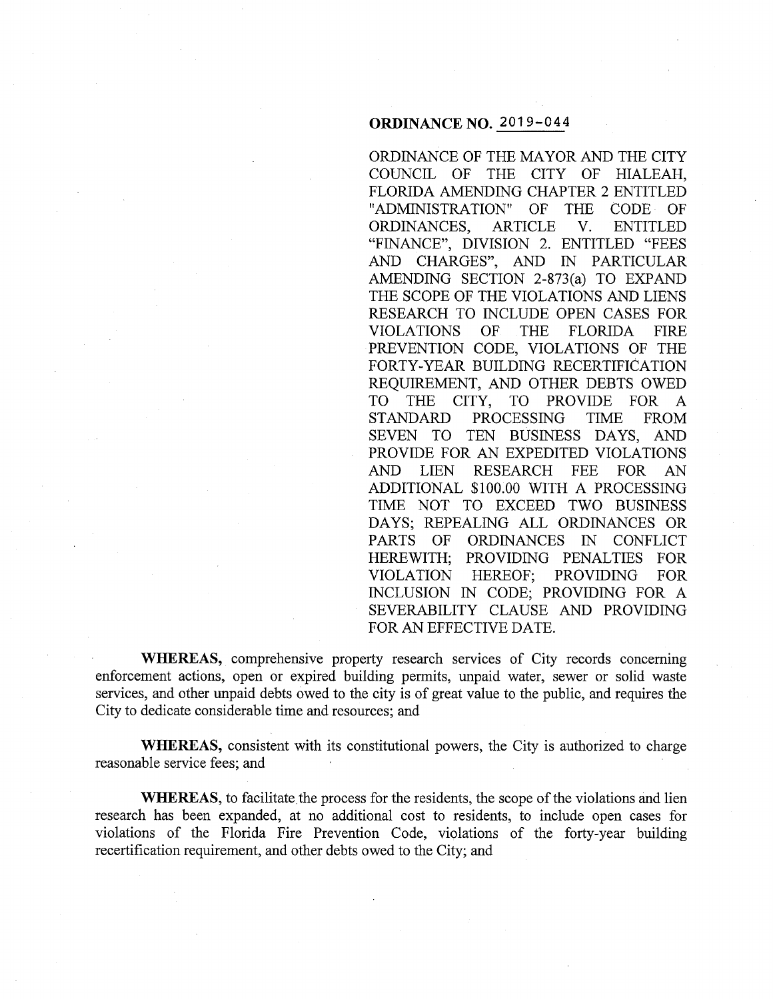# **ORDINANCE NO.** 2019-044

ORDINANCE OF THE MAYOR AND THE CITY COUNCIL OF THE CITY OF HIALEAH, FLORIDA AMENDING CHAPTER 2 ENTITLED "ADMINISTRATION" OF THE CODE OF ORDINANCES, ARTICLE V. ENTITLED "FINANCE", DIVISION 2. ENTITLED "FEES AND CHARGES", AND IN PARTICULAR AMENDING SECTION 2-873(a) TO EXPAND THE SCOPE OF THE VIOLATIONS AND LIENS RESEARCH TO INCLUDE OPEN CASES FOR VIOLATIONS OF THE FLORIDA FIRE PREVENTION CODE, VIOLATIONS OF THE FORTY-YEAR BUILDING RECERTIFICATION REQUIREMENT, AND OTHER DEBTS OWED TO THE CITY, TO PROVIDE FOR A STANDARD PROCESSING TIME FROM SEVEN TO TEN BUSINESS DAYS, AND PROVIDE FOR AN EXPEDITED VIOLATIONS AND LIEN RESEARCH FEE FOR AN ADDITIONAL \$100.00 WITH A PROCESSING TIME NOT TO EXCEED TWO BUSINESS DAYS; REPEALING ALL ORDINANCES OR PARTS OF ORDINANCES IN CONFLICT HEREWITH; PROVIDING PENALTIES FOR VIOLATION HEREOF; PROVIDING FOR INCLUSION IN CODE; PROVIDING FOR A SEVERABILITY CLAUSE AND PROVIDING FOR AN EFFECTIVE DATE.

**WHEREAS,** comprehensive property research services of City records concerning enforcement actions, open or expired building permits, unpaid water, sewer or solid waste services, and other unpaid debts owed to the city is of great value to the public, and requires the City to dedicate considerable time and resources; and

**WHEREAS,** consistent with its constitutional powers, the City is authorized to charge reasonable service fees; and

**WHEREAS,** to facilitate the process for the residents, the scope of the violations and lien research has been expanded, at no additional cost to residents, to include open cases for violations of the Florida Fire Prevention Code, violations of the forty-year building recertification requirement, and other debts owed to the City; and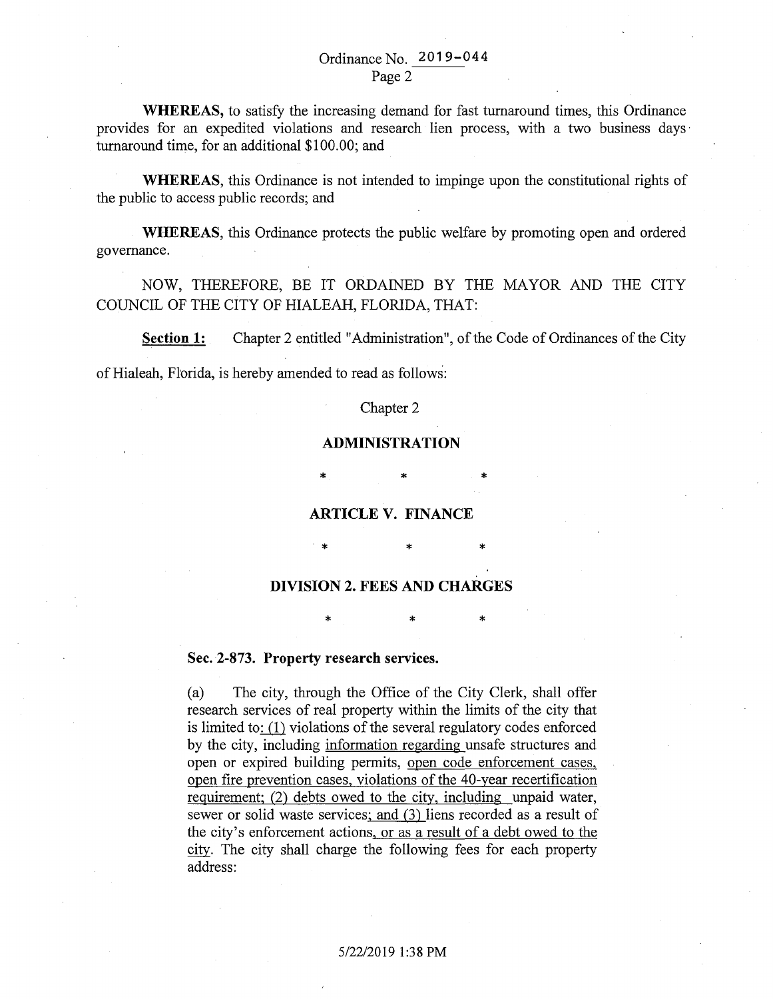# Ordinance No. 2019-044 Page 2

**WHEREAS,** to satisfy the increasing demand for fast turnaround times, this Ordinance provides for an expedited violations and research lien process, with a two business days · turnaround time, for an additional \$100.00; and

**WHEREAS,** this Ordinance is not intended to impinge upon the constitutional rights of the public to access public records; and

**WHEREAS,** this Ordinance protects the public welfare by promoting open and ordered governance.

NOW, THEREFORE, BE IT ORDAINED BY THE MAYOR AND THE CITY COUNCIL OF THE CITY OF HIALEAH, FLORIDA, THAT:

**Section 1:** Chapter 2 entitled "Administration", of the Code of Ordinances of the City

of Hialeah, Florida, is hereby amended to read as follows:

## Chapter 2

## **ADMINISTRATION**

\* \* \*

## **ARTICLE V. FINANCE**

\* \* \*

## **DIVISION 2. FEES AND CHARGES**

\* \* \*

# **Sec. 2-873. Property research services.**

(a) The city, through the Office of the City Clerk, shall offer research services of real property within the limits of the city that is limited to:  $(1)$  violations of the several regulatory codes enforced by the city, including information regarding unsafe structures and open or expired building permits, open code enforcement cases, open fire prevention cases, violations of the 40-year recertification requirement; (2) debts owed to the city, including unpaid water, sewer or solid waste services; and (3) liens recorded as a result of the city's enforcement actions, or as a result of a debt owed to the .ctty. The city shall charge the following fees for each property address: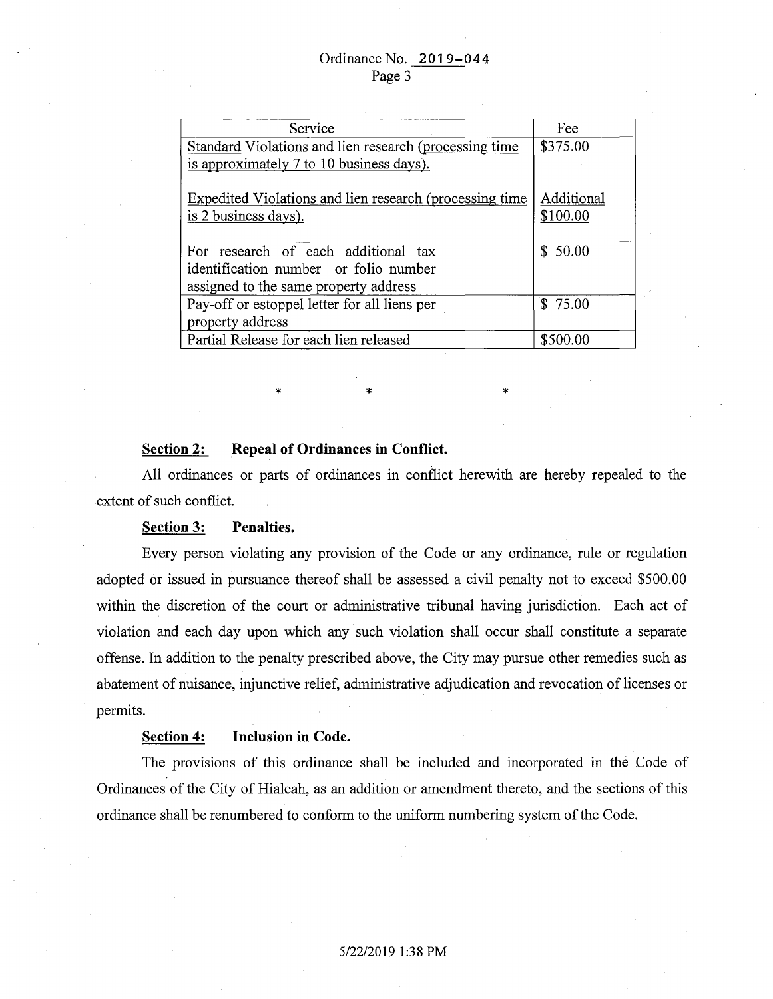| Service                                                 | Fee        |
|---------------------------------------------------------|------------|
| Standard Violations and lien research (processing time  | \$375.00   |
| is approximately 7 to 10 business days).                |            |
|                                                         |            |
| Expedited Violations and lien research (processing time | Additional |
| is 2 business days).                                    | \$100.00   |
|                                                         |            |
| For research of each additional tax                     | \$50.00    |
| identification number or folio number                   |            |
| assigned to the same property address                   |            |
| Pay-off or estoppel letter for all liens per            | \$75.00    |
| property address                                        |            |
| Partial Release for each lien released                  | \$500.00   |

#### **Section 2: Repeal of Ordinances in Conflict.**

All ordinances or parts of ordinances in conflict herewith are hereby repealed to the extent of such conflict.

\* \* \* \* \*

## **Section 3: Penalties.**

Every person violating any provision of the Code or any ordinance, rule or regulation adopted or issued in pursuance thereof shall be assessed a civil penalty not to exceed \$500.00 within the discretion of the court or administrative tribunal having jurisdiction. Each act of violation and each day upon which any such violation shall occur shall constitute a separate offense. In addition to the penalty prescribed above, the City may pursue other remedies such as abatement of nuisance, injunctive relief, administrative adjudication and revocation of licenses or permits.

# **Section 4: Inclusion in Code.**

The provisions of this ordinance shall be included and incorporated in the Code of Ordinances of the City of Hialeah, as an addition or amendment thereto, and the sections of this ordinance shall be renumbered to conform to the uniform numbering system of the Code.

#### 5/22/2019 1:38PM